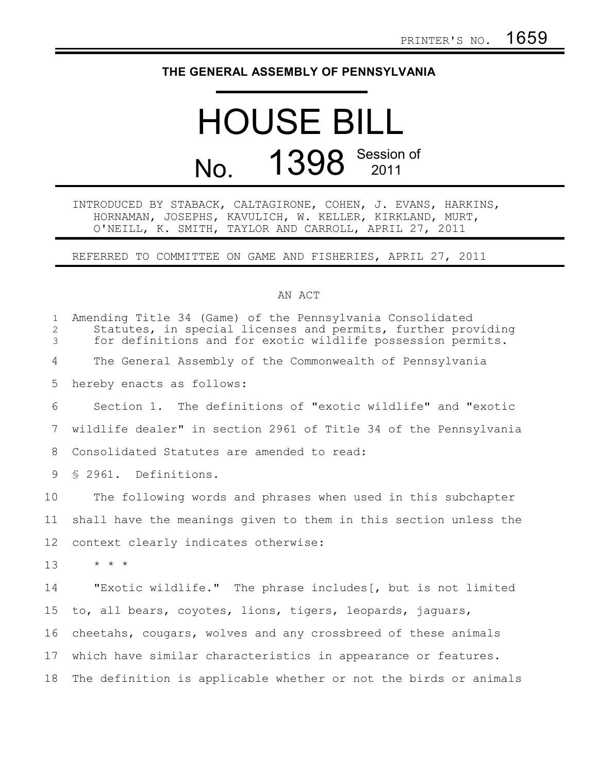## **THE GENERAL ASSEMBLY OF PENNSYLVANIA**

## HOUSE BILL No. 1398 Session of

INTRODUCED BY STABACK, CALTAGIRONE, COHEN, J. EVANS, HARKINS, HORNAMAN, JOSEPHS, KAVULICH, W. KELLER, KIRKLAND, MURT, O'NEILL, K. SMITH, TAYLOR AND CARROLL, APRIL 27, 2011

REFERRED TO COMMITTEE ON GAME AND FISHERIES, APRIL 27, 2011

## AN ACT

| $\mathbf{1}$<br>$\overline{2}$<br>3 | Amending Title 34 (Game) of the Pennsylvania Consolidated<br>Statutes, in special licenses and permits, further providing<br>for definitions and for exotic wildlife possession permits. |
|-------------------------------------|------------------------------------------------------------------------------------------------------------------------------------------------------------------------------------------|
| 4                                   | The General Assembly of the Commonwealth of Pennsylvania                                                                                                                                 |
| 5                                   | hereby enacts as follows:                                                                                                                                                                |
| 6                                   | Section 1. The definitions of "exotic wildlife" and "exotic                                                                                                                              |
| 7                                   | wildlife dealer" in section 2961 of Title 34 of the Pennsylvania                                                                                                                         |
| 8                                   | Consolidated Statutes are amended to read:                                                                                                                                               |
| 9                                   | \$ 2961. Definitions.                                                                                                                                                                    |
| 10                                  | The following words and phrases when used in this subchapter                                                                                                                             |
| 11                                  | shall have the meanings given to them in this section unless the                                                                                                                         |
| 12                                  | context clearly indicates otherwise:                                                                                                                                                     |
| 13                                  | $\star$ $\star$ $\star$                                                                                                                                                                  |
| 14                                  | "Exotic wildlife." The phrase includes [, but is not limited                                                                                                                             |
| 15                                  | to, all bears, coyotes, lions, tigers, leopards, jaguars,                                                                                                                                |
| 16                                  | cheetahs, cougars, wolves and any crossbreed of these animals                                                                                                                            |
| 17                                  | which have similar characteristics in appearance or features.                                                                                                                            |
| 18                                  | The definition is applicable whether or not the birds or animals                                                                                                                         |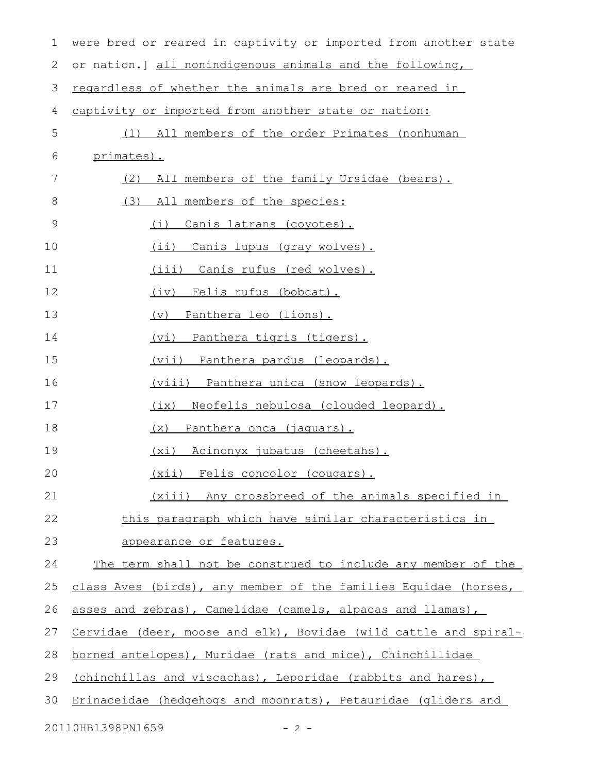| 1  | were bred or reared in captivity or imported from another state  |
|----|------------------------------------------------------------------|
| 2  | or nation.] all nonindigenous animals and the following,         |
| 3  | regardless of whether the animals are bred or reared in          |
| 4  | captivity or imported from another state or nation:              |
| 5  | (1) All members of the order Primates (nonhuman                  |
| 6  | primates).                                                       |
| 7  | All members of the family Ursidae (bears).<br>(2)                |
| 8  | (3) All members of the species:                                  |
| 9  | Canis latrans (coyotes).<br>(i)                                  |
| 10 | (ii) Canis lupus (gray wolves).                                  |
| 11 | (iii) Canis rufus (red wolves).                                  |
| 12 | (iv) Felis rufus (bobcat).                                       |
| 13 | <u>Panthera leo (lions).</u><br>$(\triangledown)$                |
| 14 | (vi) Panthera tigris (tigers).                                   |
| 15 | <u>(vii) Panthera pardus (leopards).</u>                         |
| 16 | <u>(viii) Panthera unica (snow leopards).</u>                    |
| 17 | (ix) Neofelis nebulosa (clouded leopard).                        |
| 18 | (x) Panthera onca (jaquars).                                     |
| 19 | (xi) Acinonyx jubatus (cheetahs).                                |
| 20 | (xii) Felis concolor (cougars).                                  |
| 21 | (xiii) Any crossbreed of the animals specified in                |
| 22 | this paragraph which have similar characteristics in             |
| 23 | appearance or features.                                          |
| 24 | The term shall not be construed to include any member of the     |
| 25 | class Aves (birds), any member of the families Equidae (horses,  |
| 26 | asses and zebras), Camelidae (camels, alpacas and llamas),       |
| 27 | Cervidae (deer, moose and elk), Bovidae (wild cattle and spiral- |
| 28 | horned antelopes), Muridae (rats and mice), Chinchillidae        |
| 29 | (chinchillas and viscachas), Leporidae (rabbits and hares),      |
| 30 | Erinaceidae (hedgehogs and moonrats), Petauridae (gliders and    |
|    | 20110HB1398PN1659<br>$-2 -$                                      |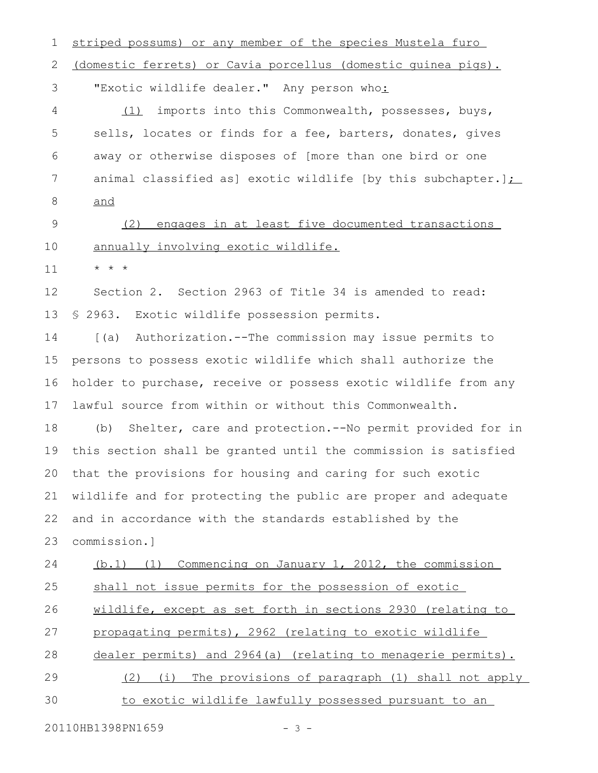striped possums) or any member of the species Mustela furo (domestic ferrets) or Cavia porcellus (domestic guinea pigs). "Exotic wildlife dealer." Any person who: (1) imports into this Commonwealth, possesses, buys, sells, locates or finds for a fee, barters, donates, gives away or otherwise disposes of [more than one bird or one animal classified as] exotic wildlife [by this subchapter.] $\sum$ and (2) engages in at least five documented transactions annually involving exotic wildlife. \* \* \* Section 2. Section 2963 of Title 34 is amended to read: § 2963. Exotic wildlife possession permits. [(a) Authorization.--The commission may issue permits to persons to possess exotic wildlife which shall authorize the holder to purchase, receive or possess exotic wildlife from any lawful source from within or without this Commonwealth. (b) Shelter, care and protection.--No permit provided for in this section shall be granted until the commission is satisfied that the provisions for housing and caring for such exotic wildlife and for protecting the public are proper and adequate and in accordance with the standards established by the commission.] (b.1) (1) Commencing on January 1, 2012, the commission shall not issue permits for the possession of exotic wildlife, except as set forth in sections 2930 (relating to propagating permits), 2962 (relating to exotic wildlife dealer permits) and 2964(a) (relating to menagerie permits). (2) (i) The provisions of paragraph (1) shall not apply to exotic wildlife lawfully possessed pursuant to an 1 2 3 4 5 6 7 8 9 10 11 12 13 14 15 16 17 18 19 20 21 22 23 24 25 26 27 28 29 30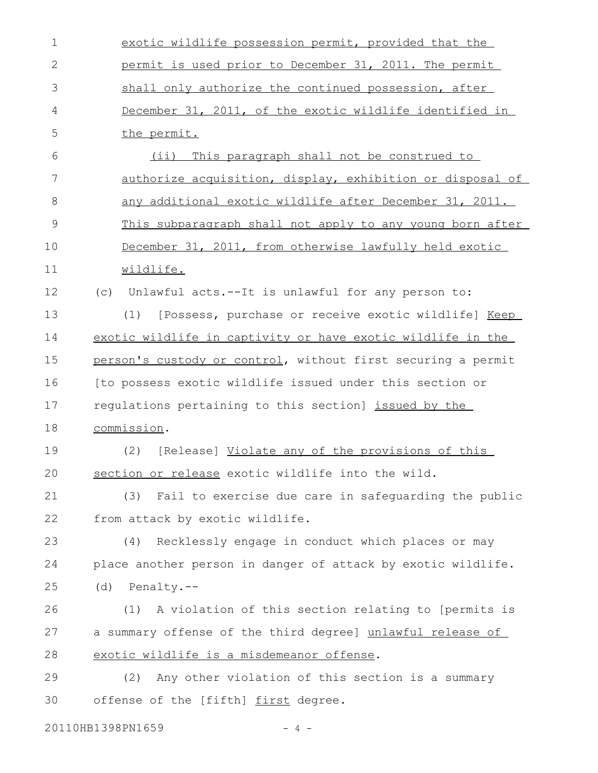| $\mathbf 1$ | exotic wildlife possession permit, provided that the         |
|-------------|--------------------------------------------------------------|
| $\sqrt{2}$  | permit is used prior to December 31, 2011. The permit        |
| 3           | shall only authorize the continued possession, after         |
| 4           | December 31, 2011, of the exotic wildlife identified in      |
| 5           | the permit.                                                  |
| 6           | (ii) This paragraph shall not be construed to                |
| 7           | authorize acquisition, display, exhibition or disposal of    |
| 8           | any additional exotic wildlife after December 31, 2011.      |
| $\mathsf 9$ | This subparagraph shall not apply to any young born after    |
| 10          | December 31, 2011, from otherwise lawfully held exotic       |
| 11          | wildlife.                                                    |
| 12          | Unlawful acts.--It is unlawful for any person to:<br>(C)     |
| 13          | [Possess, purchase or receive exotic wildlife] Keep<br>(1)   |
| 14          | exotic wildlife in captivity or have exotic wildlife in the  |
| 15          | person's custody or control, without first securing a permit |
| 16          | [to possess exotic wildlife issued under this section or     |
| 17          | regulations pertaining to this section] issued by the        |
| 18          | commission.                                                  |
| 19          | [Release] Violate any of the provisions of this<br>(2)       |
| 20          | section or release exotic wildlife into the wild.            |
| 21          | Fail to exercise due care in safequarding the public<br>(3)  |
| 22          | from attack by exotic wildlife.                              |
| 23          | (4) Recklessly engage in conduct which places or may         |
| 24          | place another person in danger of attack by exotic wildlife. |
| 25          | $(d)$ Penalty.--                                             |
| 26          | (1) A violation of this section relating to [permits is      |
| 27          | a summary offense of the third degree] unlawful release of   |
| 28          | exotic wildlife is a misdemeanor offense.                    |
| 29          | Any other violation of this section is a summary<br>(2)      |
| 30          | offense of the [fifth] first degree.                         |
|             | 20110HB1398PN1659<br>-4-                                     |